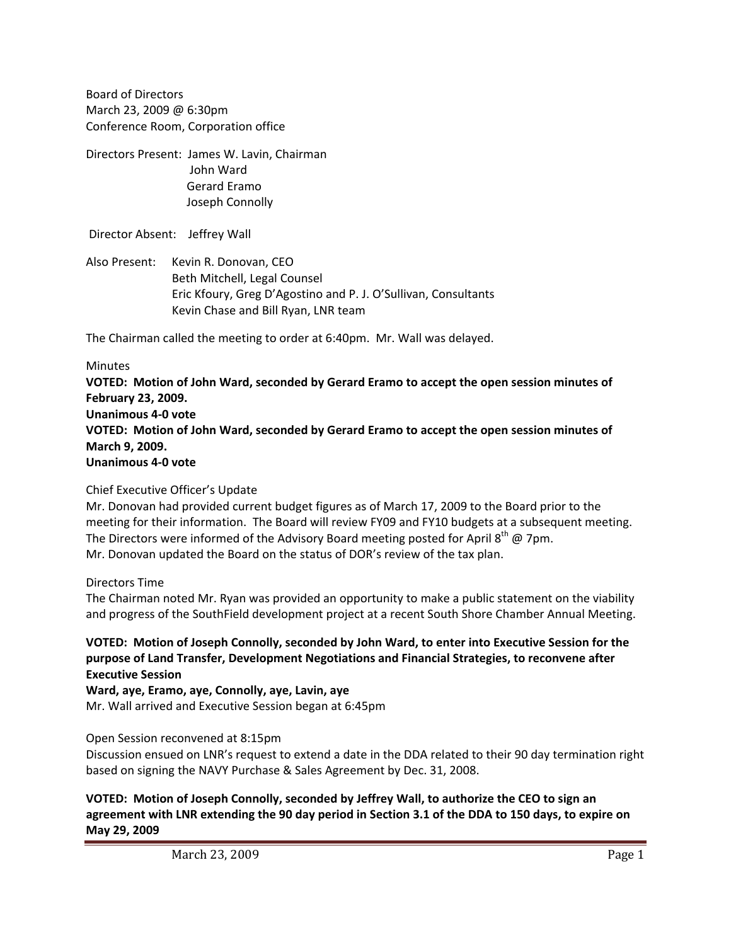Board of Directors March 23, 2009 @ 6:30pm Conference Room, Corporation office

Directors Present: James W. Lavin, Chairman John Ward Gerard Eramo Joseph Connolly

Director Absent: Jeffrey Wall

Also Present: Kevin R. Donovan, CEO Beth Mitchell, Legal Counsel Eric Kfoury, Greg D'Agostino and P. J. O'Sullivan, Consultants Kevin Chase and Bill Ryan, LNR team

The Chairman called the meeting to order at 6:40pm. Mr. Wall was delayed.

## **Minutes**

**VOTED: Motion of John Ward, seconded by Gerard Eramo to accept the open session minutes of February 23, 2009. Unanimous 4‐0 vote VOTED: Motion of John Ward, seconded by Gerard Eramo to accept the open session minutes of March 9, 2009. Unanimous 4‐0 vote**

## Chief Executive Officer's Update

Mr. Donovan had provided current budget figures as of March 17, 2009 to the Board prior to the meeting for their information. The Board will review FY09 and FY10 budgets at a subsequent meeting. The Directors were informed of the Advisory Board meeting posted for April  $8^{th}$  @ 7pm. Mr. Donovan updated the Board on the status of DOR's review of the tax plan.

## Directors Time

The Chairman noted Mr. Ryan was provided an opportunity to make a public statement on the viability and progress of the SouthField development project at a recent South Shore Chamber Annual Meeting.

**VOTED: Motion of Joseph Connolly, seconded by John Ward, to enter into Executive Session for the purpose of Land Transfer, Development Negotiations and Financial Strategies, to reconvene after Executive Session**

**Ward, aye, Eramo, aye, Connolly, aye, Lavin, aye**

Mr. Wall arrived and Executive Session began at 6:45pm

## Open Session reconvened at 8:15pm

Discussion ensued on LNR's request to extend a date in the DDA related to their 90 day termination right based on signing the NAVY Purchase & Sales Agreement by Dec. 31, 2008.

**VOTED: Motion of Joseph Connolly, seconded by Jeffrey Wall, to authorize the CEO to sign an** agreement with LNR extending the 90 day period in Section 3.1 of the DDA to 150 days, to expire on **May 29, 2009**